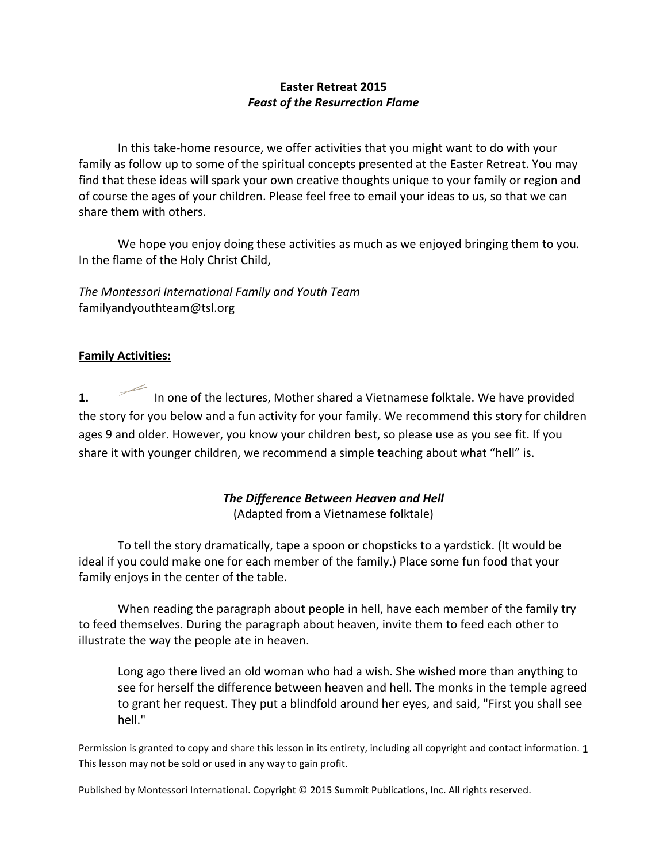# **Easter Retreat 2015** *Feast of the Resurrection Flame*

In this take-home resource, we offer activities that you might want to do with your family as follow up to some of the spiritual concepts presented at the Easter Retreat. You may find that these ideas will spark your own creative thoughts unique to your family or region and of course the ages of your children. Please feel free to email your ideas to us, so that we can share them with others.

We hope you enjoy doing these activities as much as we enjoyed bringing them to you. In the flame of the Holy Christ Child,

*The Montessori International Family and Youth Team* familyandyouthteam@tsl.org

# **Family Activities:**

**1.** In one of the lectures, Mother shared a Vietnamese folktale. We have provided the story for you below and a fun activity for your family. We recommend this story for children ages 9 and older. However, you know your children best, so please use as you see fit. If you share it with younger children, we recommend a simple teaching about what "hell" is.

# **The Difference Between Heaven and Hell** (Adapted from a Vietnamese folktale)

To tell the story dramatically, tape a spoon or chopsticks to a yardstick. (It would be ideal if you could make one for each member of the family.) Place some fun food that your family enjoys in the center of the table.

When reading the paragraph about people in hell, have each member of the family try to feed themselves. During the paragraph about heaven, invite them to feed each other to illustrate the way the people ate in heaven.

Long ago there lived an old woman who had a wish. She wished more than anything to see for herself the difference between heaven and hell. The monks in the temple agreed to grant her request. They put a blindfold around her eyes, and said, "First you shall see hell."

Permission is granted to copy and share this lesson in its entirety, including all copyright and contact information. 1 This lesson may not be sold or used in any way to gain profit.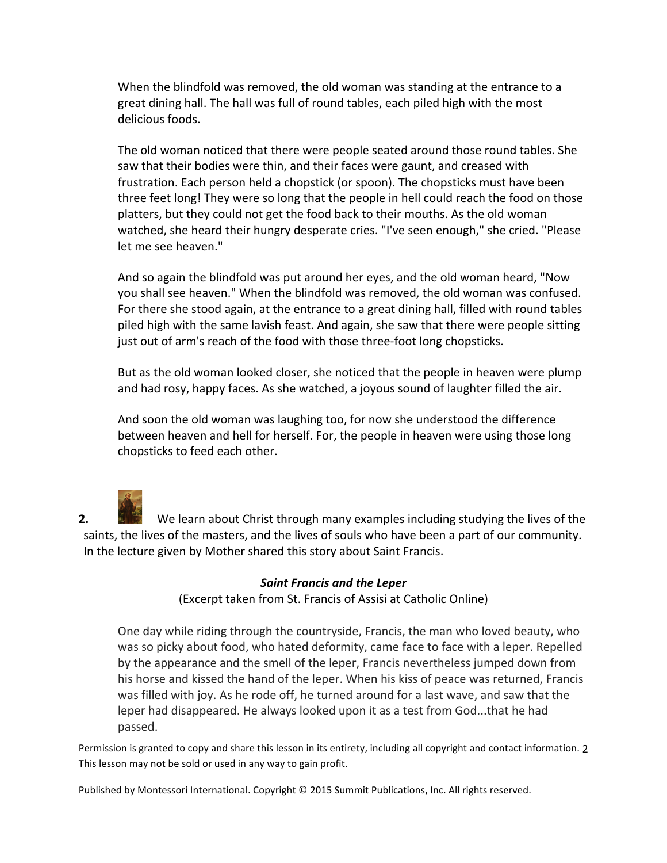When the blindfold was removed, the old woman was standing at the entrance to a great dining hall. The hall was full of round tables, each piled high with the most delicious foods.

The old woman noticed that there were people seated around those round tables. She saw that their bodies were thin, and their faces were gaunt, and creased with frustration. Each person held a chopstick (or spoon). The chopsticks must have been three feet long! They were so long that the people in hell could reach the food on those platters, but they could not get the food back to their mouths. As the old woman watched, she heard their hungry desperate cries. "I've seen enough," she cried. "Please let me see heaven."

And so again the blindfold was put around her eyes, and the old woman heard, "Now you shall see heaven." When the blindfold was removed, the old woman was confused. For there she stood again, at the entrance to a great dining hall, filled with round tables piled high with the same lavish feast. And again, she saw that there were people sitting just out of arm's reach of the food with those three-foot long chopsticks.

But as the old woman looked closer, she noticed that the people in heaven were plump and had rosy, happy faces. As she watched, a joyous sound of laughter filled the air.

And soon the old woman was laughing too, for now she understood the difference between heaven and hell for herself. For, the people in heaven were using those long chopsticks to feed each other.

**2.** We learn about Christ through many examples including studying the lives of the saints, the lives of the masters, and the lives of souls who have been a part of our community. In the lecture given by Mother shared this story about Saint Francis.

# *Saint Francis and the Leper* (Excerpt taken from St. Francis of Assisi at Catholic Online)

One day while riding through the countryside, Francis, the man who loved beauty, who was so picky about food, who hated deformity, came face to face with a leper. Repelled by the appearance and the smell of the leper, Francis nevertheless jumped down from his horse and kissed the hand of the leper. When his kiss of peace was returned, Francis was filled with joy. As he rode off, he turned around for a last wave, and saw that the leper had disappeared. He always looked upon it as a test from God...that he had passed.

Permission is granted to copy and share this lesson in its entirety, including all copyright and contact information. 2 This lesson may not be sold or used in any way to gain profit.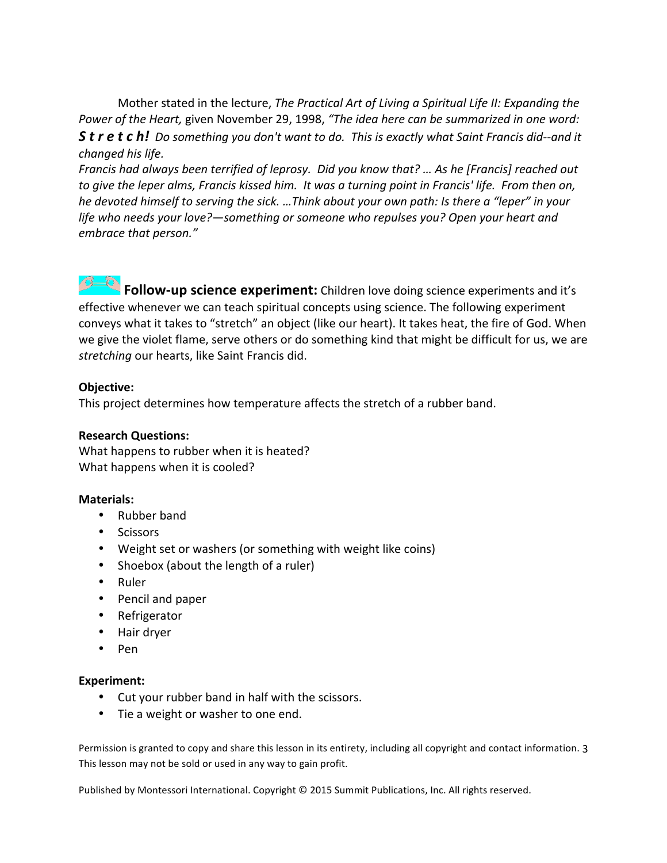Mother stated in the lecture, *The Practical Art of Living a Spiritual Life II: Expanding the Power of the Heart, given November 29, 1998, "The idea here can be summarized in one word: S t r e**t**c**h!* **Do something you don't want to do. This is exactly what Saint Francis did--and it** *changed his life.* 

*Francis had always been terrified of leprosy. Did you know that? … As he [Francis] reached out to give the leper alms, Francis kissed him. It was a turning point in Francis' life.* From then on, *he devoted himself to serving the sick. ...Think about your own path: Is there a "leper" in your life* who needs your love?—something or someone who repulses you? Open your heart and *embrace that person."*

**Follow-up science experiment:** Children love doing science experiments and it's effective whenever we can teach spiritual concepts using science. The following experiment conveys what it takes to "stretch" an object (like our heart). It takes heat, the fire of God. When we give the violet flame, serve others or do something kind that might be difficult for us, we are stretching our hearts, like Saint Francis did.

### **Objective:**

This project determines how temperature affects the stretch of a rubber band.

#### **Research Questions:**

What happens to rubber when it is heated? What happens when it is cooled?

### **Materials:**

- Rubber band
- Scissors
- Weight set or washers (or something with weight like coins)
- Shoebox (about the length of a ruler)
- Ruler
- Pencil and paper
- Refrigerator
- Hair dryer
- Pen

### **Experiment:**

- Cut your rubber band in half with the scissors.
- Tie a weight or washer to one end.

Permission is granted to copy and share this lesson in its entirety, including all copyright and contact information. 3 This lesson may not be sold or used in any way to gain profit.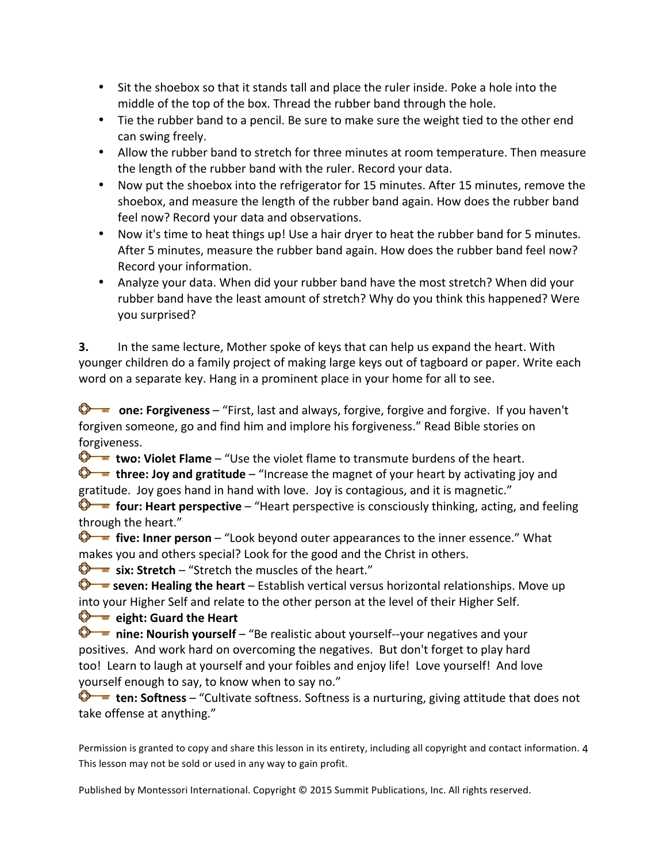- Sit the shoebox so that it stands tall and place the ruler inside. Poke a hole into the middle of the top of the box. Thread the rubber band through the hole.
- Tie the rubber band to a pencil. Be sure to make sure the weight tied to the other end can swing freely.
- Allow the rubber band to stretch for three minutes at room temperature. Then measure the length of the rubber band with the ruler. Record your data.
- Now put the shoebox into the refrigerator for 15 minutes. After 15 minutes, remove the shoebox, and measure the length of the rubber band again. How does the rubber band feel now? Record your data and observations.
- Now it's time to heat things up! Use a hair dryer to heat the rubber band for 5 minutes. After 5 minutes, measure the rubber band again. How does the rubber band feel now? Record your information.
- Analyze your data. When did your rubber band have the most stretch? When did your rubber band have the least amount of stretch? Why do you think this happened? Were you surprised?

**3.** In the same lecture, Mother spoke of keys that can help us expand the heart. With younger children do a family project of making large keys out of tagboard or paper. Write each word on a separate key. Hang in a prominent place in your home for all to see.

**C ne:** Forgiveness – "First, last and always, forgive, forgive and forgive. If you haven't forgiven someone, go and find him and implore his forgiveness." Read Bible stories on forgiveness.

**two: Violet Flame** – "Use the violet flame to transmute burdens of the heart.

 $\bigcirc$  **three: Joy and gratitude** – "Increase the magnet of your heart by activating joy and gratitude. Joy goes hand in hand with love. Joy is contagious, and it is magnetic."

**four: Heart perspective** – "Heart perspective is consciously thinking, acting, and feeling through the heart."

**five: Inner person** – "Look beyond outer appearances to the inner essence." What makes you and others special? Look for the good and the Christ in others.

**S** ix: Stretch – "Stretch the muscles of the heart."

**S** seven: Healing the heart – Establish vertical versus horizontal relationships. Move up into your Higher Self and relate to the other person at the level of their Higher Self.

 $\bigotimes$  **ight:** Guard the Heart

**D** inine: **Nourish yourself** – "Be realistic about yourself--your negatives and your positives. And work hard on overcoming the negatives. But don't forget to play hard too! Learn to laugh at yourself and your foibles and enjoy life! Love yourself! And love yourself enough to say, to know when to say no."

 $\bullet$  **ten:** Softness – "Cultivate softness. Softness is a nurturing, giving attitude that does not take offense at anything."

Permission is granted to copy and share this lesson in its entirety, including all copyright and contact information. 4 This lesson may not be sold or used in any way to gain profit.